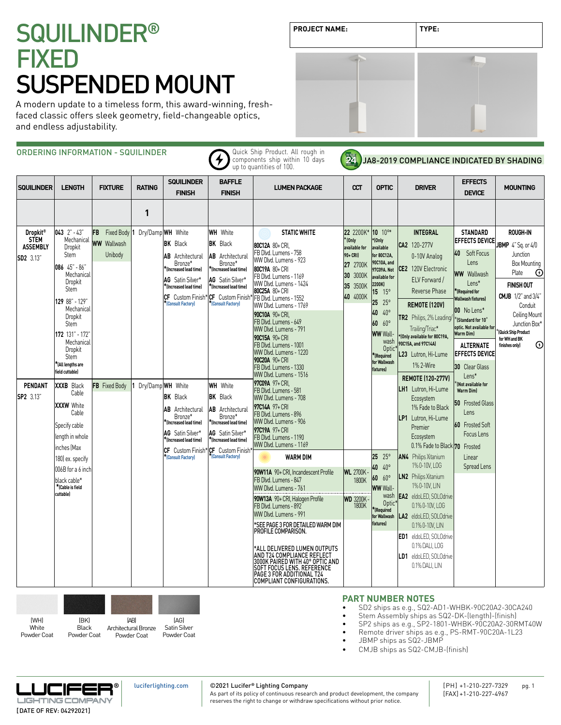A modern update to a timeless form, this award-winning, freshfaced classic offers sleek geometry, field-changeable optics, and endless adjustability.

ORDERING INFORMATION - SQUILINDER Quick Ship Product. All rough in  $\bigstar$ components ship within 10 days JA8-2019 COMPLIANCE INDICATED BY SHADING up to quantities of 100. **SQUILINDER BAFFLE EFFECTS SQUILINDER LENGTH FIXTURE RATING LUMEN PACKAGE CCT OPTIC DRIVER MOUNTING FINISH FINISH DEVICE 1 043** 2" - 43" **WH** White **STATIC WHITE 22** 2200K\* **10** 10°\* **INTEGRAL STANDARD Dropkit® ROUGH-IN FB** Fixed Body **1** Dry/Damp **WH** White **STEM**  Mechanical **\* (Only \*(Only EFFECTS DEVICE WW** Wallwash **BK** Black **BK** Black **JBMP** 4" Sq. or 4/0 **80C12A** 80+ CRI, **CA2** 120-277V **ASSEMBLY**  Dropkit **available for available**  FB Dlvd. Lumens - 758 **40** Soft Focus Junction Unibody Stem **AB** Architectural **AB** Architectural **90+ CRI) for 80C12A,**  0-10V Analog **SD2** 3.13" WW Dlvd. Lumens - 923 **90C10A, and**  L<sub>onc</sub> Bronze\* Bronze\* Box Mounting **27** 2700K **086** 45" - 86" **CE2** 120V Electronic **\*(Increased lead time) \*(Increased lead time) 80C19A** 80+ CRI **97C09A. Not WW** Wallwash Plate  $_{\odot}$ Mechanica FB Dlvd. Lumens - 1169 **30** 3000K **available for**  ELV Forward / **AG** Satin Silver\* **AG** Satin Silver\* Dropkit WW Dlvd. Lumens - 1424 Lens\* **35** 3500K **2200K) FINISH OUT \*(Increased lead time) \*(Increased lead time)** Stem Reverse Phase **\*(Required for 80C25A** 80+ CRI **15** 15° **40** 4000K **CMJB** 1/2" and 3/4" FB Dlvd. Lumens - 1552 **CF** Custom Finish\* **CF** Custom Finish\* **Wallwash fixtures) 129** 88" - 129" **25** 25° **\*(Consult Factory) REMOTE (120V) \*(Consult Factory)** WW Dlvd. Lumens - 1769 Conduit **Mechanica 00** No Lens\* **40** 40° **90C10A** 90+ CRI, Ceiling Mount Dropkit **TR2** Philips, 2% Leading/  $^*$ (Standard for 10 $^{\circ}$ FB Dlvd. Lumens - 649 **60** 60° Junction Box<sup>\*</sup> Stem **optic. Not available for** WW Dlvd. Lumens - 791 Trailing/Triac\* **WW** Wall- \***(Quick Ship Product 172** 131" - 172" **Warm Dim) \*(Only available for 80C19A, 90C15A** 90+ CRI  **for WH and BK**  Mechanica wash **90C15A, and 97C14A)**  $\odot$ FB Dlvd. Lumens - 1001 **ALTERNATE finishes only)** Dropkit Optic\* WW Dlvd. Lumens - 1220 **L23** Lutron, Hi-Lume **EFFECTS DEVICE \*(Required**  Stem **90C20A** 90+ CRI **for Wallwash \*(All lengths are**  1% 2-Wire FB Dlvd. Lumens - 1330 **30** Clear Glass **fixtures) field cuttable)** WW Dlvd. Lumens - 1516 Lens\* **REMOTE (120-277V) 97C09A** 97+ CRI, \***(Not available for PENDANT FB** Fixed Body **1** Dry/Damp **WH** White **XXXB** Black **WH** White FB Dlvd. Lumens - 581 **LH1** Lutron, Hi-Lume  **Warm Dim)** Cable **SP2** 3.13" **BK** Black **BK** Black WW Dlvd. Lumens - 708 Ecosystem **50** Frosted Glass **XXXW** White **97C14A** 97+ CRI 1% Fade to Black **AB** Architectural **AB** Architectural Lens Cable FB Dlvd. Lumens - 896 Bronze\* Bronze\* **LP1** Lutron, Hi-Lume WW Dlvd. Lumens - 906 **\*(Increased lead time) \*(Increased lead time) 60** Frosted Soft Specify cable Premier **97C19A** 97+ CRI **AG** Satin Silver\* **AG** Satin Silver\* Focus Lens length in whole Ecosystem FB Dlvd. Lumens - 1190 **\*(Increased lead time) \*(Increased lead time)** WW Dlvd. Lumens - 1169 0.1% Fade to Black 70 **70** Frosted inches (Max **CF** Custom Finish\* **CF** Custom Finish\* **\*(Consult Factory) WARM DIM 25** 25° **AN4** Philips Xitanium Linear 180) ex. specify **\*(Consult Factory)** 1% 0-10V, LOG **40** 40° Spread Lens  $006B$  for a 6 inch **90W11A** 90+ CRI, Incandescent Profile **WI** 2700K **60** 60° **LN2** Philips Xitanium FB Dlvd. Lumens - 847 1800K black cable\* **\*(Cable is field**  1% 0-10V, LIN **WW** Wall- WW Dlvd. Lumens - 761 **cuttable)** wash **EA2** eldoLED, SOLOdrive **90W13A** 90+ CRI, Halogen Profile **WD** 3200K - 1800K Optic\* 0.1% 0-10V, LOG FB Dlvd. Lumens - 892 **\*(Required**  WW Dlvd. Lumens - 991 **for Wallwash LA2** eldoLED, SOLOdrive \*SEE PAGE 3 FOR DETAILED WARM DIM **fixtures)**   $0.1\%$   $0-10$ V, LIN PROFILE COMPARISON. **ED1** eldoLED, SOLOdrive 0.1% DALI, LOG \*ALL DELIVERED LUMEN OUTPUTS AND T24 COMPLIANCE REFLECT **LD1** eldoLED, SOLOdrive 3000K PAIRED WITH 40° OPTIC AND SOFT FOCUS LENS. REFERENCE PAGE 3 FOR ADDITIONAL T24 0.1% DALI, LIN COMPLIANT CONFIGURATIONS.



# **PART NUMBER NOTES**

• SD2 ships as e.g., SQ2-AD1-WHBK-90C20A2-30CA240

- Stem Assembly ships as SQ2-DK-(length)-(finish)
- SP2 ships as e.g., SP2-1801-WHBK-90C20A2-30RMT40W
- Remote driver ships as e.g., PS-RMT-90C20A-1L23 • JBMP ships as SQ2-JBMP
- 
- CMJB ships as SQ2-CMJB-(finish)



# ©2021 Lucifer**®** Lighting Company

As part of its policy of continuous research and product development, the company reserves the right to change or withdraw specifications without prior notice.



**PROJECT NAME: TYPE:**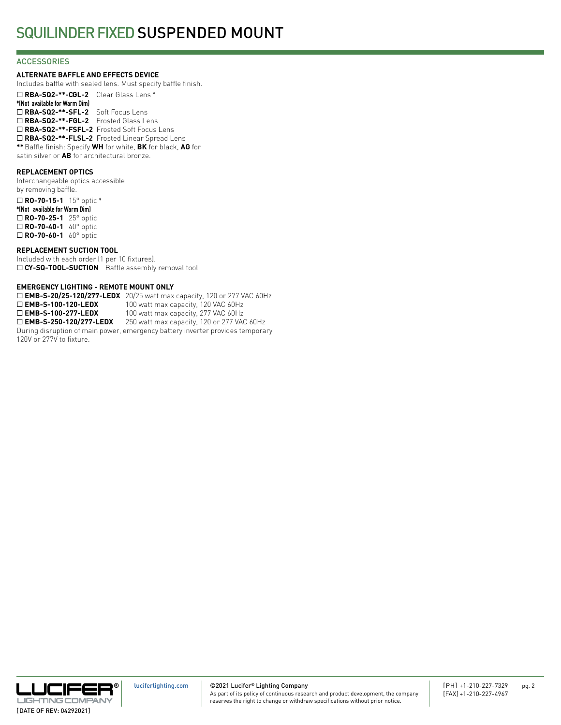## **ACCESSORIES**

### **ALTERNATE BAFFLE AND EFFECTS DEVICE**

Includes baffle with sealed lens. Must specify baffle finish.

¨ **RBA-SQ2-\*\*-CGL-2** Clear Glass Lens \* **\*(Not available for Warm Dim)** ¨ **RBA-SQ2-\*\*-SFL-2** Soft Focus Lens ¨ **RBA-SQ2-\*\*-FGL-2** Frosted Glass Lens ¨ **RBA-SQ2-\*\*-FSFL-2** Frosted Soft Focus Lens □ RBA-SQ2-\*\*-FLSL-2 Frosted Linear Spread Lens **\*\***Baffle finish: Specify **WH** for white, **BK** for black, **AG** for satin silver or **AB** for architectural bronze.

## **REPLACEMENT OPTICS**

Interchangeable optics accessible by removing baffle. ¨ **RO-70-15-1** 15° optic \* **\*(Not available for Warm Dim)** □ **RO-70-25-1** 25° optic ¨ **RO-70-40-1** 40° optic □ **RO-70-60-1** 60° optic

### **REPLACEMENT SUCTION TOOL**

Included with each order (1 per 10 fixtures). □ CY-SQ-TOOL-SUCTION Baffle assembly removal tool

### **EMERGENCY LIGHTING - REMOTE MOUNT ONLY**

□ **EMB-S-20/25-120/277-LEDX** 20/25 watt max capacity, 120 or 277 VAC 60Hz □ **EMB-S-100-120-LEDX** 100 watt max capacity, 120 VAC 60Hz<br>□ **EMB-S-100-277-LEDX** 100 watt max capacity, 277 VAC 60Hz 100 watt max capacity, 277 VAC 60Hz □ **EMB-S-250-120/277-LEDX** 250 watt max capacity, 120 or 277 VAC 60Hz During disruption of main power, emergency battery inverter provides temporary 120V or 277V to fixture.

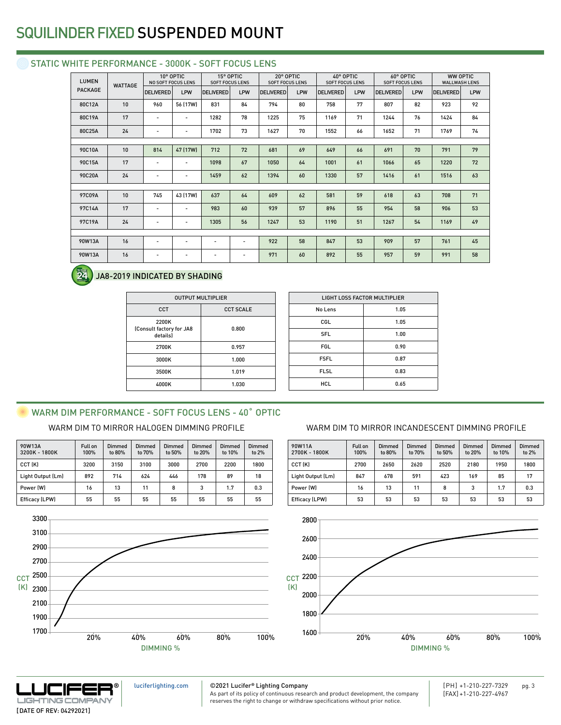# STATIC WHITE PERFORMANCE - 3000K - SOFT FOCUS LENS

| <b>LUMEN</b>   | <b>WATTAGE</b> | 10° OPTIC<br><b>NO SOFT FOCUS LENS</b> |                          | 15° OPTIC<br><b>SOFT FOCUS LENS</b> |                          | 20° OPTIC<br><b>SOFT FOCUS LENS</b> |     | 40° OPTIC<br><b>SOFT FOCUS LENS</b> |     | 60° OPTIC<br><b>SOFT FOCUS LENS</b> |     | <b>WW OPTIC</b><br><b>WALLWASH LENS</b> |     |
|----------------|----------------|----------------------------------------|--------------------------|-------------------------------------|--------------------------|-------------------------------------|-----|-------------------------------------|-----|-------------------------------------|-----|-----------------------------------------|-----|
| <b>PACKAGE</b> |                | <b>DELIVERED</b>                       | LPW                      | <b>DELIVERED</b>                    | LPW                      | <b>DELIVERED</b>                    | LPW | <b>DELIVERED</b>                    | LPW | <b>DELIVERED</b>                    | LPW | <b>DELIVERED</b>                        | LPW |
| 80C12A         | 10             | 960                                    | 56 (17W)                 | 831                                 | 84                       | 794                                 | 80  | 758                                 | 77  | 807                                 | 82  | 923                                     | 92  |
| 80C19A         | 17             | $\overline{\phantom{a}}$               | $\overline{\phantom{a}}$ | 1282                                | 78                       | 1225                                | 75  | 1169                                | 71  | 1244                                | 76  | 1424                                    | 84  |
| 80C25A         | 24             | $\overline{a}$                         | $\overline{\phantom{a}}$ | 1702                                | 73                       | 1627                                | 70  | 1552                                | 66  | 1652                                | 71  | 1769                                    | 74  |
|                |                |                                        |                          |                                     |                          |                                     |     |                                     |     |                                     |     |                                         |     |
| 90C10A         | 10             | 814                                    | 47 (17W)                 | 712                                 | 72                       | 681                                 | 69  | 649                                 | 66  | 691                                 | 70  | 791                                     | 79  |
| 90C15A         | 17             | $\overline{\phantom{a}}$               | $\overline{\phantom{a}}$ | 1098                                | 67                       | 1050                                | 64  | 1001                                | 61  | 1066                                | 65  | 1220                                    | 72  |
| 90C20A         | 24             | $\overline{\phantom{a}}$               | $\overline{\phantom{a}}$ | 1459                                | 62                       | 1394                                | 60  | 1330                                | 57  | 1416                                | 61  | 1516                                    | 63  |
|                |                |                                        |                          |                                     |                          |                                     |     |                                     |     |                                     |     |                                         |     |
| 97C09A         | 10             | 745                                    | 43 (17W)                 | 637                                 | 64                       | 609                                 | 62  | 581                                 | 59  | 618                                 | 63  | 708                                     | 71  |
| 97C14A         | 17             | $\overline{\phantom{a}}$               | $\overline{\phantom{a}}$ | 983                                 | 60                       | 939                                 | 57  | 896                                 | 55  | 954                                 | 58  | 906                                     | 53  |
| 97C19A         | 24             | $\overline{\phantom{a}}$               | $\overline{\phantom{a}}$ | 1305                                | 56                       | 1247                                | 53  | 1190                                | 51  | 1267                                | 54  | 1169                                    | 49  |
|                |                |                                        |                          |                                     |                          |                                     |     |                                     |     |                                     |     |                                         |     |
| 90W13A         | 16             | $\overline{\phantom{a}}$               | $\overline{\phantom{a}}$ | $\overline{\phantom{a}}$            | $\overline{\phantom{a}}$ | 922                                 | 58  | 847                                 | 53  | 909                                 | 57  | 761                                     | 45  |
| 90W13A         | 16             | $\qquad \qquad \blacksquare$           | $\overline{\phantom{a}}$ | $\overline{\phantom{a}}$            | $\overline{\phantom{a}}$ | 971                                 | 60  | 892                                 | 55  | 957                                 | 59  | 991                                     | 58  |
|                |                |                                        |                          |                                     |                          |                                     |     |                                     |     |                                     |     |                                         |     |

#### **24** JA8-2019 INDICATED BY SHADING

| <b>OUTPUT MULTIPLIER</b>                      |                  |  |  |  |  |
|-----------------------------------------------|------------------|--|--|--|--|
| CCT                                           | <b>CCT SCALE</b> |  |  |  |  |
| 2200K<br>(Consult factory for JA8<br>details) | 0.800            |  |  |  |  |
| 2700K                                         | 0.957            |  |  |  |  |
| 3000K                                         | 1.000            |  |  |  |  |
| 3500K                                         | 1.019            |  |  |  |  |
| 4000K                                         | 1.030            |  |  |  |  |

| <b>LIGHT LOSS FACTOR MULTIPLIER</b> |      |  |  |  |  |
|-------------------------------------|------|--|--|--|--|
| No Lens                             | 1.05 |  |  |  |  |
| CGL                                 | 1.05 |  |  |  |  |
| <b>SFL</b>                          | 1.00 |  |  |  |  |
| <b>FGL</b>                          | 0.90 |  |  |  |  |
| <b>FSFL</b>                         | 0.87 |  |  |  |  |
| <b>FLSL</b>                         | 0.83 |  |  |  |  |
| <b>HCL</b>                          | 0.65 |  |  |  |  |
|                                     |      |  |  |  |  |

# WARM DIM PERFORMANCE - SOFT FOCUS LENS - 40° OPTIC

| 90W13A<br>3200K - 1800K | Full on<br>100% | Dimmed<br>to 80% | Dimmed<br>to 70% | Dimmed<br>to 50% | Dimmed<br>to 20% | Dimmed<br>to 10% | Dimmed<br>to 2% |
|-------------------------|-----------------|------------------|------------------|------------------|------------------|------------------|-----------------|
| CCT (K)                 | 3200            | 3150             | 3100             | 3000             | 2700             | 2200             | 1800            |
| Light Output (Lm)       | 892             | 714              | 624              | 446              | 178              | 89               | 18              |
| Power (W)               | 16              | 13               | 11               | 8                | 3                | 1.7              | 0.3             |
| Efficacy (LPW)          | 55              | 55               | 55               | 55               | 55               | 55               | 55              |



# WARM DIM TO MIRROR HALOGEN DIMMING PROFILE WARM DIM TO MIRROR INCANDESCENT DIMMING PROFILE

| 90W11A<br>2700K - 1800K | Full on<br>100% | <b>Dimmed</b><br>to 80% | Dimmed<br>to 70% | Dimmed<br>to 50% | <b>Dimmed</b><br>to 20% | Dimmed<br>to 10% | Dimmed<br>to $2%$ |
|-------------------------|-----------------|-------------------------|------------------|------------------|-------------------------|------------------|-------------------|
| CCT (K)                 | 2700            | 2650                    | 2620             | 2520             | 2180                    | 1950             | 1800              |
| Light Output (Lm)       | 847             | 678                     | 591              | 423              | 169                     | 85               | 17                |
| Power (W)               | 16              | 13                      | 11               | 8                | 3                       | 1.7              | 0.3               |
| <b>Efficacy (LPW)</b>   | 53              | 53                      | 53               | 53               | 53                      | 53               | 53                |





[luciferlighting.com](http://luciferlighting.com/)

©2021 Lucifer**®** Lighting Company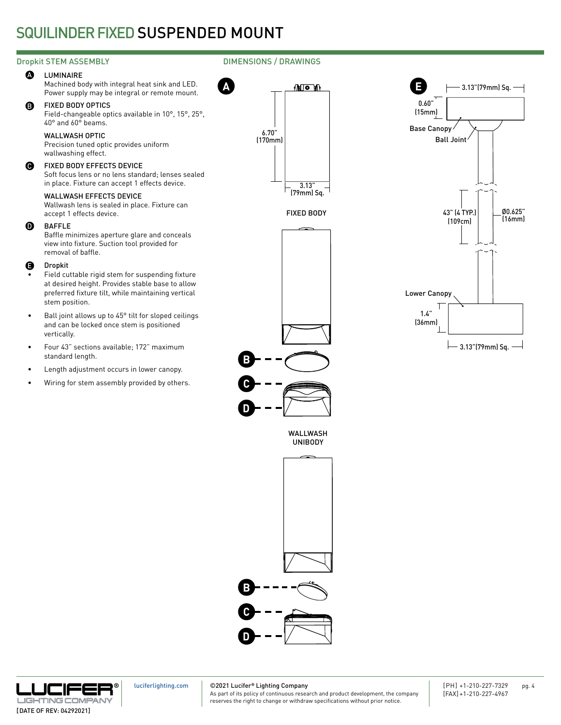# Dropkit STEM ASSEMBLY **DIMENSIONS** / DRAWINGS

#### **A** LUMINAIRE

Machined body with integral heat sink and LED. Power supply may be integral or remote mount.

#### B FIXED BODY OPTICS

Field-changeable optics available in 10°, 15°, 25°, 40° and 60° beams.

# WALLWASH OPTIC

Precision tuned optic provides uniform wallwashing effect.

#### $\bullet$ FIXED BODY EFFECTS DEVICE

Soft focus lens or no lens standard; lenses sealed in place. Fixture can accept 1 effects device.

# WALLWASH EFFECTS DEVICE

Wallwash lens is sealed in place. Fixture can accept 1 effects device.

#### $\Omega$ BAFFLE

Baffle minimizes aperture glare and conceals view into fixture. Suction tool provided for removal of baffle.

#### Dropkit E

- Field cuttable rigid stem for suspending fixture at desired height. Provides stable base to allow preferred fixture tilt, while maintaining vertical stem position.
- Ball joint allows up to 45° tilt for sloped ceilings and can be locked once stem is positioned vertically.
- Four 43" sections available; 172" maximum standard length.
- Length adjustment occurs in lower canopy.
- Wiring for stem assembly provided by others.

**A**





## WALLWASH UNIBODY

**C**

**B**

**D**





[luciferlighting.com](http://luciferlighting.com/)

# ©2021 Lucifer**®** Lighting Company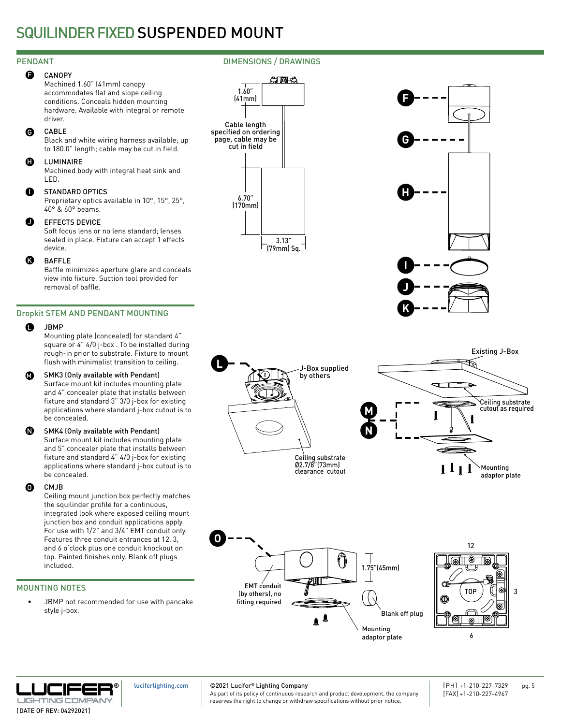#### **CANOPY** e.

Machined 1.60" (41mm) canopy accommodates flat and slope ceiling conditions. Conceals hidden mounting hardware. Available with integral or remote driver.

#### CABLE  $\bf \Theta$

Black and white wiring harness available; up to 180.0" length; cable may be cut in field.

#### LUMINAIRE  $\mathbf 0$

Machined body with integral heat sink and LED.

#### STANDARD OPTICS  $\mathbf 0$

Proprietary optics available in 10°, 15°, 25°, 40° & 60° beams.

#### EFFECTS DEVICE  $\bf o$

Soft focus lens or no lens standard; lenses sealed in place. Fixture can accept 1 effects device.

#### BAFFLE  $\boldsymbol{\Omega}$

Baffle minimizes aperture glare and conceals view into fixture. Suction tool provided for removal of baffle.

# Dropkit STEM AND PENDANT MOUNTING

#### JBMP  $\bullet$

Mounting plate (concealed) for standard 4" square or 4" 4/0 j-box . To be installed during rough-in prior to substrate. Fixture to mount flush with minimalist transition to ceiling.

#### SMK3 (Only available with Pendant)  $\bf \bm \Omega$

Surface mount kit includes mounting plate and 4" concealer plate that installs between fixture and standard 3" 3/0 j-box for existing applications where standard j-box cutout is to be concealed.

#### SMK4 (Only available with Pendant) N

Surface mount kit includes mounting plate and 5" concealer plate that installs between fixture and standard 4" 4/0 j-box for existing applications where standard j-box cutout is to be concealed.

#### CMJB O

Ceiling mount junction box perfectly matches the squilinder profile for a continuous, integrated look where exposed ceiling mount junction box and conduit applications apply. For use with 1/2" and 3/4" EMT conduit only. Features three conduit entrances at 12, 3, and 6 o'clock plus one conduit knockout on top. Painted finishes only. Blank off plugs included.

# MOUNTING NOTES

JBMP not recommended for use with pancake style j-box.

















[luciferlighting.com](http://luciferlighting.com/)

©2021 Lucifer**®** Lighting Company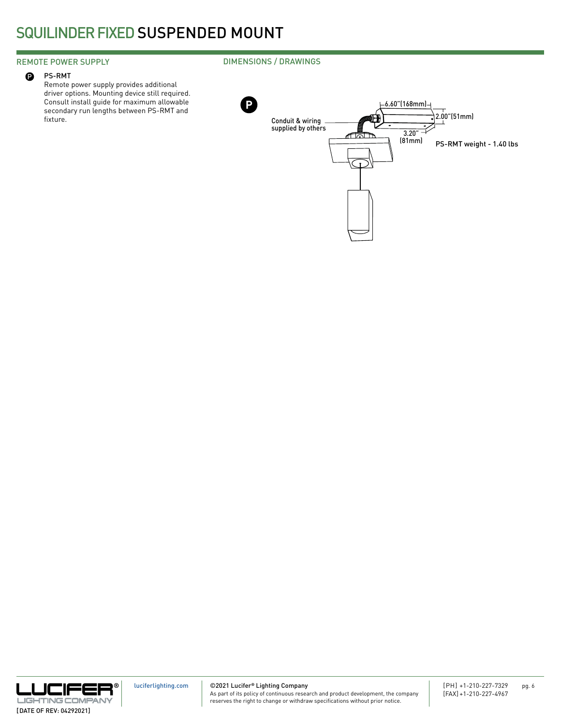# REMOTE POWER SUPPLY

#### PS-RMT  $\mathbf 0$

Remote power supply provides additional driver options. Mounting device still required. Consult install guide for maximum allowable secondary run lengths between PS-RMT and fixture.







©2021 Lucifer**®** Lighting Company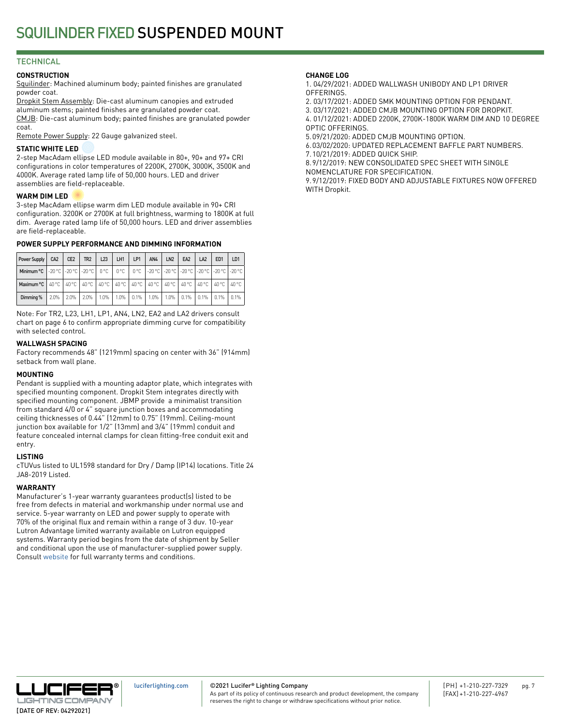# **TECHNICAL**

## **CONSTRUCTION**

Squilinder: Machined aluminum body; painted finishes are granulated powder coat.

Dropkit Stem Assembly: Die-cast aluminum canopies and extruded aluminum stems; painted finishes are granulated powder coat. CMJB: Die-cast aluminum body; painted finishes are granulated powder coat.

Remote Power Supply: 22 Gauge galvanized steel.

## **STATIC WHITE LED**

2-step MacAdam ellipse LED module available in 80+, 90+ and 97+ CRI configurations in color temperatures of 2200K, 2700K, 3000K, 3500K and 4000K. Average rated lamp life of 50,000 hours. LED and driver assemblies are field-replaceable.

## **WARM DIM LED**

3-step MacAdam ellipse warm dim LED module available in 90+ CRI configuration. 3200K or 2700K at full brightness, warming to 1800K at full dim. Average rated lamp life of 50,000 hours. LED and driver assemblies are field-replaceable.

# **POWER SUPPLY PERFORMANCE AND DIMMING INFORMATION**

| Power Supply                                                                                                     | CA <sub>2</sub> | CE <sub>2</sub> | TR <sub>2</sub> | L23     | LH1 | LP1          | AN4  | LN <sub>2</sub> | EA <sub>2</sub>       | LA <sub>2</sub> | ED <sub>1</sub> | LD1   |
|------------------------------------------------------------------------------------------------------------------|-----------------|-----------------|-----------------|---------|-----|--------------|------|-----------------|-----------------------|-----------------|-----------------|-------|
| Minimum °C   -20 °C   -20 °C   -20 °C   0 °C   0 °C   0 °C   -20 °C   -20 °C   -20 °C   -20 °C   -20 °C   -20 °C |                 |                 |                 |         |     |              |      |                 |                       |                 |                 |       |
| Maximum °C   40 °C   40 °C   40 °C   40 °C   40 °C   40 °C   40 °C   40 °C   40 °C   40 °C   40 °C   40 °C       |                 |                 |                 |         |     |              |      |                 |                       |                 |                 |       |
| Dimming %                                                                                                        | 2.0%            | $2.0\%$         | $2.0\%$         | $1.0\%$ |     | $1.0\%$ 0.1% | 1.0% |                 | $1.0\%$   0.1%   0.1% |                 | $0.1\%$         | 10.1% |

Note: For TR2, L23, LH1, LP1, AN4, LN2, EA2 and LA2 drivers consult chart on page 6 to confirm appropriate dimming curve for compatibility with selected control.

## **WALLWASH SPACING**

Factory recommends 48" (1219mm) spacing on center with 36" (914mm) setback from wall plane.

### **MOUNTING**

Pendant is supplied with a mounting adaptor plate, which integrates with specified mounting component. Dropkit Stem integrates directly with specified mounting component. JBMP provide a minimalist transition from standard 4/0 or 4" square junction boxes and accommodating ceiling thicknesses of 0.44" (12mm) to 0.75" (19mm). Ceiling-mount junction box available for 1/2" (13mm) and 3/4" (19mm) conduit and feature concealed internal clamps for clean fitting-free conduit exit and entry.

### **LISTING**

cTUVus listed to UL1598 standard for Dry / Damp (IP14) locations. Title 24 JA8-2019 Listed.

# **WARRANTY**

Manufacturer's 1-year warranty guarantees product(s) listed to be free from defects in material and workmanship under normal use and service. 5-year warranty on LED and power supply to operate with 70% of the original flux and remain within a range of 3 duv. 10-year Lutron Advantage limited warranty available on Lutron equipped systems. Warranty period begins from the date of shipment by Seller and conditional upon the use of manufacturer-supplied power supply. Consult [website](http://luciferlighting.com/Resources/Full-Warranty) for full warranty terms and conditions.

## **CHANGE LOG**

1. 04/29/2021: ADDED WALLWASH UNIBODY AND LP1 DRIVER **OFFERINGS** 

2. 03/17/2021: ADDED SMK MOUNTING OPTION FOR PENDANT.

3. 03/17/2021: ADDED CMJB MOUNTING OPTION FOR DROPKIT. 4. 01/12/2021: ADDED 2200K, 2700K-1800K WARM DIM AND 10 DEGREE

OPTIC OFFERINGS.

5.09/21/2020: ADDED CMJB MOUNTING OPTION.

6.03/02/2020: UPDATED REPLACEMENT BAFFLE PART NUMBERS.

7.10/21/2019: ADDED QUICK SHIP.

8.9/12/2019: NEW CONSOLIDATED SPEC SHEET WITH SINGLE NOMENCLATURE FOR SPECIFICATION.

9.9/12/2019: FIXED BODY AND ADJUSTABLE FIXTURES NOW OFFERED WITH Dropkit.



©2021 Lucifer**®** Lighting Company